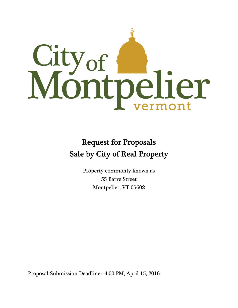

# Request for Proposals Sale by City of Real Property

Property commonly known as 55 Barre Street Montpelier, VT 05602

Proposal Submission Deadline: 4:00 PM, April 15, 2016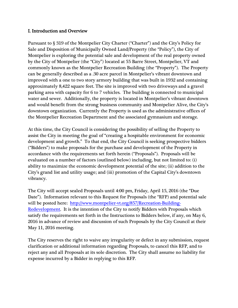#### I. Introduction and Overview

Pursuant to § 319 of the Montpelier City Charter ("Charter") and the City's Policy for Sale and Disposition of Municipally Owned Land/Property (the "Policy"), the City of Montpelier is exploring the potential sale and development of the real property owned by the City of Montpelier (the "City") located at 55 Barre Street, Montpelier, VT and commonly known as the Montpelier Recreation Building (the "Property"). The Property can be generally described as a .30 acre parcel in Montpelier's vibrant downtown and improved with a one to two story armory building that was built in 1932 and containing approximately 8,422 square feet. The site is improved with two driveways and a gravel parking area with capacity for 6 to 7 vehicles. The building is connected to municipal water and sewer. Additionally, the property is located in Montpelier's vibrant downtown and would benefit from the strong business community and Montpelier Alive, the City's downtown organization. Currently the Property is used as the administrative offices of the Montpelier Recreation Department and the associated gymnasium and storage.

At this time, the City Council is considering the possibility of selling the Property to assist the City in meeting the goal of "creating a hospitable environment for economic development and growth." To that end, the City Council is seeking prospective bidders ("Bidders") to make proposals for the purchase and development of the Property in accordance with the requirements set forth herein ("Proposals"). Proposals will be evaluated on a number of factors (outlined below) including, but not limited to: (i) ability to maximize the economic development potential of the site; (ii) addition to the City's grand list and utility usage; and (iii) promotion of the Capital City's downtown vibrancy.

The City will accept sealed Proposals until 4:00 pm, Friday, April 15, 2016 (the "Due Date"). Information relevant to this Request for Proposals (the "RFP) and potential sale will be posted here: http://www.montpelier-vt.org/857/Recreation-Building-Redevelopment. It is the intention of the City to notify Bidders with Proposals which satisfy the requirements set forth in the Instructions to Bidders below, if any, on May 6, 2016 in advance of review and discussion of such Proposals by the City Council at their May 11, 2016 meeting.

The City reserves the right to waive any irregularity or defect in any submission, request clarification or additional information regarding Proposals, to cancel this RFP, and to reject any and all Proposals at its sole discretion. The City shall assume no liability for expense incurred by a Bidder in replying to this RFP.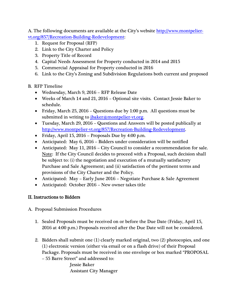A. The following documents are available at the City's website http://www.montpeliervt.org/857/Recreation-Building-Redevelopment:

- 1. Request for Proposal (RFP)
- 2. Link to the City Charter and Policy
- 3. Property Title of Record
- 4. Capital Needs Assessment for Property conducted in 2014 and 2015
- 5. Commercial Appraisal for Property conducted in 2016
- 6. Link to the City's Zoning and Subdivision Regulations both current and proposed

# B. RFP Timeline

- Wednesday, March 9, 2016 RFP Release Date
- Weeks of March 14 and 21, 2016 Optional site visits. Contact Jessie Baker to schedule.
- Friday, March 25, 2016 Questions due by 1:00 p.m. All questions must be submitted in writing to *jbaker@montpelier-vt.org.*
- Tuesday, March 29, 2016 Questions and Answers will be posted publically at http://www.montpelier-vt.org/857/Recreation-Building-Redevelopment.
- Friday, April 15, 2016 Proposals Due by 4:00 p.m.
- Anticipated: May 6, 2016 Bidders under consideration will be notified
- Anticipated: May 11, 2016 City Council to consider a recommendation for sale. Note: If the City Council decides to proceed with a Proposal, such decision shall be subject to: (i) the negotiation and execution of a mutually satisfactory Purchase and Sale Agreement; and (ii) satisfaction of the pertinent terms and provisions of the City Charter and the Policy.
- Anticipated: May Early June 2016 Negotiate Purchase & Sale Agreement
- Anticipated: October 2016 New owner takes title

# II. Instructions to Bidders

- A. Proposal Submission Procedures
	- 1. Sealed Proposals must be received on or before the Due Date (Friday, April 15, 2016 at 4:00 p.m.) Proposals received after the Due Date will not be considered.
	- 2. Bidders shall submit one (1) clearly marked original, two (2) photocopies, and one (1) electronic version (either via email or on a flash drive) of their Proposal Package. Proposals must be received in one envelope or box marked "PROPOSAL

– 55 Barre Street" and addressed to:

Jessie Baker Assistant City Manager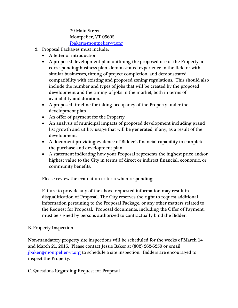39 Main Street Montpelier, VT 05602 jbaker@montpelier-vt.org

- 3. Proposal Packages must include:
	- A letter of introduction
	- A proposed development plan outlining the proposed use of the Property, a corresponding business plan, demonstrated experience in the field or with similar businesses, timing of project completion, and demonstrated compatibility with existing and proposed zoning regulations. This should also include the number and types of jobs that will be created by the proposed development and the timing of jobs in the market, both in terms of availability and duration.
	- A proposed timeline for taking occupancy of the Property under the development plan
	- An offer of payment for the Property
	- An analysis of municipal impacts of proposed development including grand list growth and utility usage that will be generated, if any, as a result of the development.
	- A document providing evidence of Bidder's financial capability to complete the purchase and development plan
	- A statement indicating how your Proposal represents the highest price and/or highest value to the City in terms of direct or indirect financial, economic, or community benefits.

Please review the evaluation criteria when responding.

Failure to provide any of the above requested information may result in disqualification of Proposal. The City reserves the right to request additional information pertaining to the Proposal Package, or any other matters related to the Request for Proposal. Proposal documents, including the Offer of Payment, must be signed by persons authorized to contractually bind the Bidder.

### B. Property Inspection

Non-mandatory property site inspections will be scheduled for the weeks of March 14 and March 21, 2016. Please contact Jessie Baker at (802) 262-6250 or email jbaker@montpelier-vt.org to schedule a site inspection. Bidders are encouraged to inspect the Property.

C. Questions Regarding Request for Proposal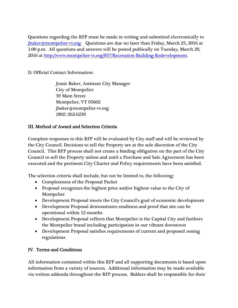Questions regarding the RFP must be made in writing and submitted electronically to jbaker@montpelier-vt.org. Questions are due no later than Friday, March 25, 2016 at 1:00 p.m. All questions and answers will be posted publically on Tuesday, March 29, 2016 at http://www.montpelier-vt.org/857/Recreation-Building-Redevelopment.

D. Official Contact Information:

Jessie Baker, Assistant City Manager City of Montpelier 39 Main Street Montpelier, VT 05602 jbaker@montpelier-vt.org (802) 262-6250

# III. Method of Award and Selection Criteria

Complete responses to this RFP will be evaluated by City staff and will be reviewed by the City Council. Decisions to sell the Property are at the sole discretion of the City Council. This RFP process shall not create a binding obligation on the part of the City Council to sell the Property unless and until a Purchase and Sale Agreement has been executed and the pertinent City Charter and Policy requirements have been satisfied.

The selection criteria shall include, but not be limited to, the following:

- Completeness of the Proposal Packet
- Proposal recognizes the highest price and/or highest value to the City of Montpelier
- Development Proposal meets the City Council's goal of economic development
- Development Proposal demonstrates readiness and proof that site can be operational within 12 months
- Development Proposal reflects that Montpelier is the Capital City and furthers the Montpelier brand including participation in our vibrant downtown
- Development Proposal satisfies requirements of current and proposed zoning regulations

# IV. Terms and Conditions

All information contained within this RFP and all supporting documents is based upon information from a variety of sources. Additional information may be made available via written addenda throughout the RFP process. Bidders shall be responsible for their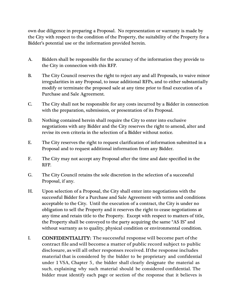own due diligence in preparing a Proposal. No representation or warranty is made by the City with respect to the condition of the Property, the suitability of the Property for a Bidder's potential use or the information provided herein.

- A. Bidders shall be responsible for the accuracy of the information they provide to the City in connection with this RFP.
- B. The City Council reserves the right to reject any and all Proposals, to waive minor irregularities in any Proposal, to issue additional RFPs, and to either substantially modify or terminate the proposed sale at any time prior to final execution of a Purchase and Sale Agreement.
- C. The City shall not be responsible for any costs incurred by a Bidder in connection with the preparation, submission, or presentation of its Proposal.
- D. Nothing contained herein shall require the City to enter into exclusive negotiations with any Bidder and the City reserves the right to amend, alter and revise its own criteria in the selection of a Bidder without notice.
- E. The City reserves the right to request clarification of information submitted in a Proposal and to request additional information from any Bidder.
- F. The City may not accept any Proposal after the time and date specified in the RFP.
- G. The City Council retains the sole discretion in the selection of a successful Proposal, if any.
- H. Upon selection of a Proposal, the City shall enter into negotiations with the successful Bidder for a Purchase and Sale Agreement with terms and conditions acceptable to the City. Until the execution of a contract, the City is under no obligation to sell the Property and it reserves the right to cease negotiations at any time and retain title to the Property. Except with respect to matters of title, the Property shall be conveyed to the party acquiring the same "AS IS" and without warranty as to quality, physical condition or environmental condition.
- I. CONFIDENTIALITY: The successful response will become part of the contract file and will become a matter of public record subject to public disclosure, as will all other responses received. If the response includes material that is considered by the bidder to be proprietary and confidential under 1 VSA, Chapter 5, the bidder shall clearly designate the material as such, explaining why such material should be considered confidential. The bidder must identify each page or section of the response that it believes is